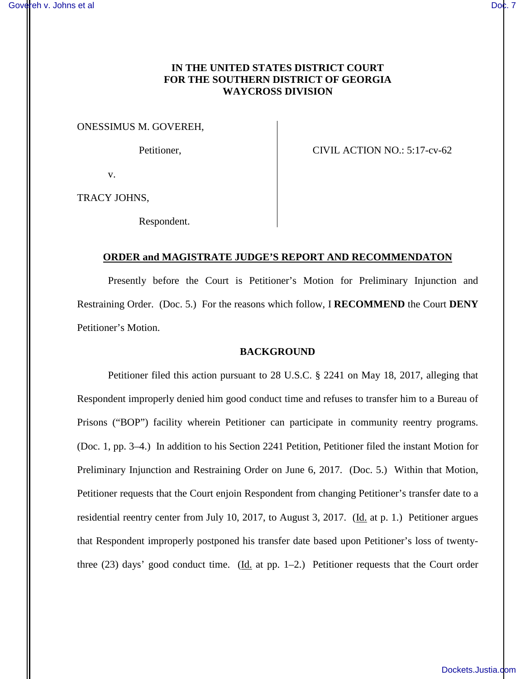# **IN THE UNITED STATES DISTRICT COURT FOR THE SOUTHERN DISTRICT OF GEORGIA WAYCROSS DIVISION**

ONESSIMUS M. GOVEREH,

Petitioner, CIVIL ACTION NO.: 5:17-cv-62

v.

TRACY JOHNS,

Respondent.

## **ORDER and MAGISTRATE JUDGE'S REPORT AND RECOMMENDATON**

Presently before the Court is Petitioner's Motion for Preliminary Injunction and Restraining Order. (Doc. 5.) For the reasons which follow, I **RECOMMEND** the Court **DENY** Petitioner's Motion.

### **BACKGROUND**

Petitioner filed this action pursuant to 28 U.S.C. § 2241 on May 18, 2017, alleging that Respondent improperly denied him good conduct time and refuses to transfer him to a Bureau of Prisons ("BOP") facility wherein Petitioner can participate in community reentry programs. (Doc. 1, pp. 3–4.) In addition to his Section 2241 Petition, Petitioner filed the instant Motion for Preliminary Injunction and Restraining Order on June 6, 2017. (Doc. 5.) Within that Motion, Petitioner requests that the Court enjoin Respondent from changing Petitioner's transfer date to a residential reentry center from July 10, 2017, to August 3, 2017. (Id. at p. 1.) Petitioner argues that Respondent improperly postponed his transfer date based upon Petitioner's loss of twentythree (23) days' good conduct time. (Id. at pp. 1–2.) Petitioner requests that the Court order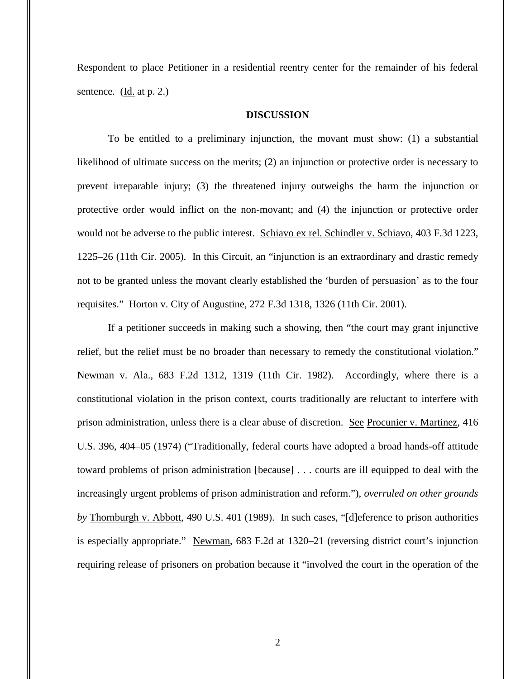Respondent to place Petitioner in a residential reentry center for the remainder of his federal sentence. (Id. at p. 2.)

### **DISCUSSION**

To be entitled to a preliminary injunction, the movant must show: (1) a substantial likelihood of ultimate success on the merits; (2) an injunction or protective order is necessary to prevent irreparable injury; (3) the threatened injury outweighs the harm the injunction or protective order would inflict on the non-movant; and (4) the injunction or protective order would not be adverse to the public interest. Schiavo ex rel. Schindler v. Schiavo, 403 F.3d 1223, 1225–26 (11th Cir. 2005). In this Circuit, an "injunction is an extraordinary and drastic remedy not to be granted unless the movant clearly established the 'burden of persuasion' as to the four requisites." Horton v. City of Augustine, 272 F.3d 1318, 1326 (11th Cir. 2001).

If a petitioner succeeds in making such a showing, then "the court may grant injunctive relief, but the relief must be no broader than necessary to remedy the constitutional violation." Newman v. Ala., 683 F.2d 1312, 1319 (11th Cir. 1982). Accordingly, where there is a constitutional violation in the prison context, courts traditionally are reluctant to interfere with prison administration, unless there is a clear abuse of discretion. See Procunier v. Martinez, 416 U.S. 396, 404–05 (1974) ("Traditionally, federal courts have adopted a broad hands-off attitude toward problems of prison administration [because] . . . courts are ill equipped to deal with the increasingly urgent problems of prison administration and reform."), *overruled on other grounds by* Thornburgh v. Abbott, 490 U.S. 401 (1989). In such cases, "[d]eference to prison authorities is especially appropriate." Newman, 683 F.2d at 1320–21 (reversing district court's injunction requiring release of prisoners on probation because it "involved the court in the operation of the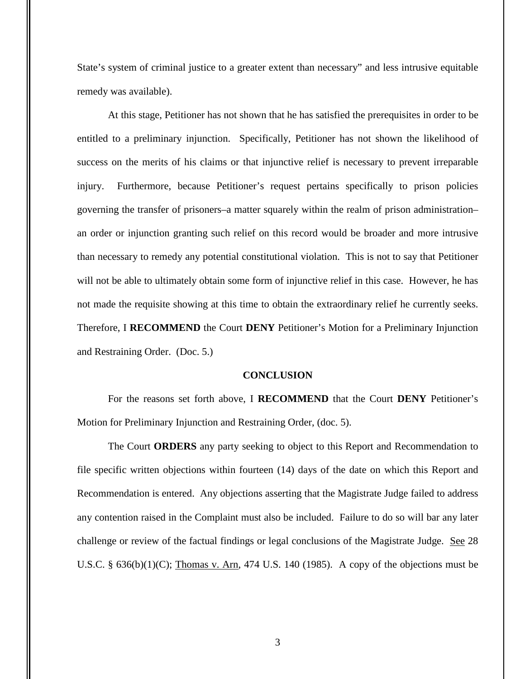State's system of criminal justice to a greater extent than necessary" and less intrusive equitable remedy was available).

At this stage, Petitioner has not shown that he has satisfied the prerequisites in order to be entitled to a preliminary injunction. Specifically, Petitioner has not shown the likelihood of success on the merits of his claims or that injunctive relief is necessary to prevent irreparable injury. Furthermore, because Petitioner's request pertains specifically to prison policies governing the transfer of prisoners–a matter squarely within the realm of prison administration– an order or injunction granting such relief on this record would be broader and more intrusive than necessary to remedy any potential constitutional violation. This is not to say that Petitioner will not be able to ultimately obtain some form of injunctive relief in this case. However, he has not made the requisite showing at this time to obtain the extraordinary relief he currently seeks. Therefore, I **RECOMMEND** the Court **DENY** Petitioner's Motion for a Preliminary Injunction and Restraining Order. (Doc. 5.)

#### **CONCLUSION**

For the reasons set forth above, I **RECOMMEND** that the Court **DENY** Petitioner's Motion for Preliminary Injunction and Restraining Order, (doc. 5).

The Court **ORDERS** any party seeking to object to this Report and Recommendation to file specific written objections within fourteen (14) days of the date on which this Report and Recommendation is entered. Any objections asserting that the Magistrate Judge failed to address any contention raised in the Complaint must also be included. Failure to do so will bar any later challenge or review of the factual findings or legal conclusions of the Magistrate Judge. See 28 U.S.C.  $\S$  636(b)(1)(C); Thomas v. Arn, 474 U.S. 140 (1985). A copy of the objections must be